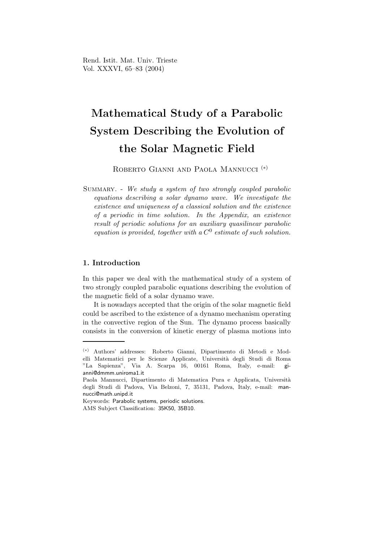Rend. Istit. Mat. Univ. Trieste Vol. XXXVI, 65–83 (2004)

# Mathematical Study of a Parabolic System Describing the Evolution of the Solar Magnetic Field

ROBERTO GIANNI AND PAOLA MANNUCCI<sup>(\*)</sup>

### 1. Introduction

In this paper we deal with the mathematical study of a system of two strongly coupled parabolic equations describing the evolution of the magnetic field of a solar dynamo wave.

It is nowadays accepted that the origin of the solar magnetic field could be ascribed to the existence of a dynamo mechanism operating in the convective region of the Sun. The dynamo process basically consists in the conversion of kinetic energy of plasma motions into

Summary. - We study a system of two strongly coupled parabolic equations describing a solar dynamo wave. We investigate the existence and uniqueness of a classical solution and the existence of a periodic in time solution. In the Appendix, an existence result of periodic solutions for an auxiliary quasilinear parabolic equation is provided, together with a  $C^0$  estimate of such solution.

<sup>(</sup>∗) Authors' addresses: Roberto Gianni, Dipartimento di Metodi e Modelli Matematici per le Scienze Applicate, Universit`a degli Studi di Roma "La Sapienza", Via A. Scarpa 16, 00161 Roma, Italy, e-mail: gianni@dmmm.uniroma1.it

Paola Mannucci, Dipartimento di Matematica Pura e Applicata, Università degli Studi di Padova, Via Belzoni, 7, 35131, Padova, Italy, e-mail: mannucci@math.unipd.it

Keywords: Parabolic systems, periodic solutions.

AMS Subject Classification: 35K50, 35B10.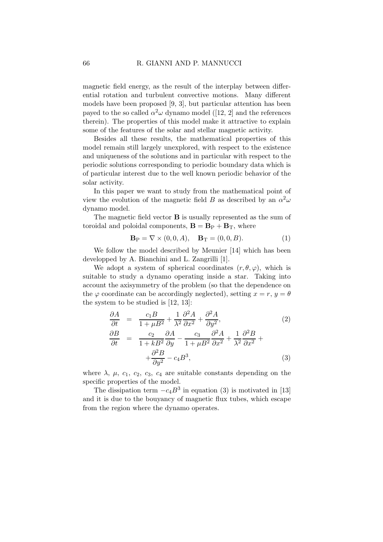magnetic field energy, as the result of the interplay between differential rotation and turbulent convective motions. Many different models have been proposed [9, 3], but particular attention has been payed to the so called  $\alpha^2 \omega$  dynamo model ([12, 2] and the references therein). The properties of this model make it attractive to explain some of the features of the solar and stellar magnetic activity.

Besides all these results, the mathematical properties of this model remain still largely unexplored, with respect to the existence and uniqueness of the solutions and in particular with respect to the periodic solutions corresponding to periodic boundary data which is of particular interest due to the well known periodic behavior of the solar activity.

In this paper we want to study from the mathematical point of view the evolution of the magnetic field B as described by an  $\alpha^2 \omega$ dynamo model.

The magnetic field vector B is usually represented as the sum of toroidal and poloidal components,  $\mathbf{B} = \mathbf{B}_{P} + \mathbf{B}_{T}$ , where

$$
\mathbf{B}_{P} = \nabla \times (0, 0, A), \quad \mathbf{B}_{T} = (0, 0, B). \tag{1}
$$

We follow the model described by Meunier [14] which has been developped by A. Bianchini and L. Zangrilli [1].

We adopt a system of spherical coordinates  $(r, \theta, \varphi)$ , which is suitable to study a dynamo operating inside a star. Taking into account the axisymmetry of the problem (so that the dependence on the  $\varphi$  coordinate can be accordingly neglected), setting  $x = r, y = \theta$ the system to be studied is [12, 13]:

$$
\frac{\partial A}{\partial t} = \frac{c_1 B}{1 + \mu B^2} + \frac{1}{\lambda^2} \frac{\partial^2 A}{\partial x^2} + \frac{\partial^2 A}{\partial y^2},
$$
\n(2)

$$
\frac{\partial B}{\partial t} = \frac{c_2}{1 + kB^2} \frac{\partial A}{\partial y} - \frac{c_3}{1 + \mu B^2} \frac{\partial^2 A}{\partial x^2} + \frac{1}{\lambda^2} \frac{\partial^2 B}{\partial x^2} + \frac{\partial^2 B}{\partial y^2} - c_4 B^3,
$$
\n(3)

where  $\lambda$ ,  $\mu$ ,  $c_1$ ,  $c_2$ ,  $c_3$ ,  $c_4$  are suitable constants depending on the specific properties of the model.

The dissipation term  $-c_4B^3$  in equation (3) is motivated in [13] and it is due to the bouyancy of magnetic flux tubes, which escape from the region where the dynamo operates.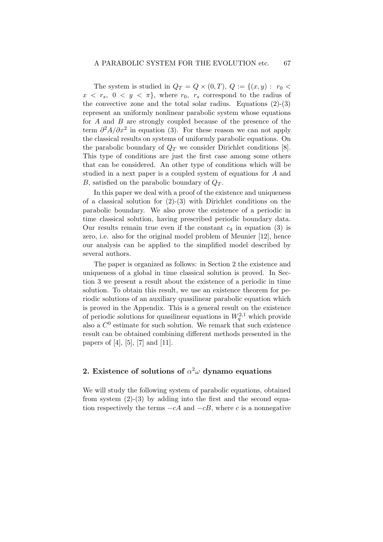The system is studied in  $Q_T = Q \times (0,T)$ ,  $Q := \{(x,y) : r_0$  $x < r_s$ ,  $0 < y < \pi$ , where  $r_0$ ,  $r_s$  correspond to the radius of the convective zone and the total solar radius. Equations  $(2)-(3)$ represent an uniformly nonlinear parabolic system whose equations for A and B are strongly coupled because of the presence of the term  $\partial^2 A/\partial x^2$  in equation (3). For these reason we can not apply the classical results on systems of uniformly parabolic equations. On the parabolic boundary of  $Q_T$  we consider Dirichlet conditions [8]. This type of conditions are just the first case among some others that can be considered. An other type of conditions which will be studied in a next paper is a coupled system of equations for A and B, satisfied on the parabolic boundary of  $Q_T$ .

In this paper we deal with a proof of the existence and uniqueness of a classical solution for  $(2)-(3)$  with Dirichlet conditions on the parabolic boundary. We also prove the existence of a periodic in time classical solution, having prescribed periodic boundary data. Our results remain true even if the constant  $c_4$  in equation (3) is zero, i.e. also for the original model problem of Meunier [12], hence our analysis can be applied to the simplified model described by several authors.

The paper is organized as follows: in Section 2 the existence and uniqueness of a global in time classical solution is proved. In Section 3 we present a result about the existence of a periodic in time solution. To obtain this result, we use an existence theorem for periodic solutions of an auxiliary quasilinear parabolic equation which is proved in the Appendix. This is a general result on the existence of periodic solutions for quasilinear equations in  $W_q^{2,1}$  which provide also a  $C^0$  estimate for such solution. We remark that such existence result can be obtained combining different methods presented in the papers of [4], [5], [7] and [11].

# 2. Existence of solutions of  $\alpha^2\omega$  dynamo equations

We will study the following system of parabolic equations, obtained from system  $(2)-(3)$  by adding into the first and the second equation respectively the terms  $-cA$  and  $-cB$ , where c is a nonnegative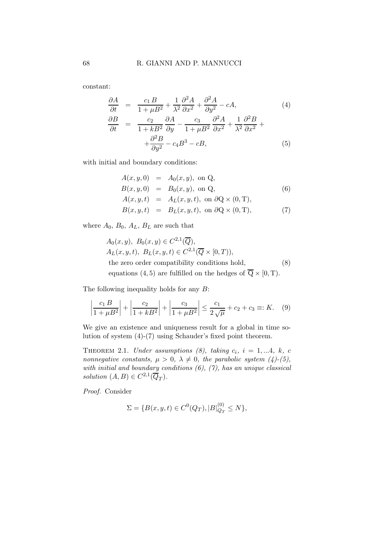constant:

$$
\frac{\partial A}{\partial t} = \frac{c_1 B}{1 + \mu B^2} + \frac{1}{\lambda^2} \frac{\partial^2 A}{\partial x^2} + \frac{\partial^2 A}{\partial y^2} - cA,
$$
\n(4)  
\n
$$
\frac{\partial B}{\partial t} = \frac{c_2}{1 + k B^2} \frac{\partial A}{\partial y} - \frac{c_3}{1 + \mu B^2} \frac{\partial^2 A}{\partial x^2} + \frac{1}{\lambda^2} \frac{\partial^2 B}{\partial x^2} + \frac{\partial^2 B}{\partial y^2} - c_4 B^3 - cB,
$$
\n(5)

with initial and boundary conditions:

$$
A(x, y, 0) = A_0(x, y), \text{ on } Q,B(x, y, 0) = B_0(x, y), \text{ on } Q,
$$
\n(6)

$$
A(x, y, t) = A_L(x, y, t), \text{ on } \partial \mathbf{Q} \times (0, \mathbf{T}),
$$

$$
B(x, y, t) = BL(x, y, t), \text{ on } \partial \mathbf{Q} \times (0, \mathbf{T}), \tag{7}
$$

where  $A_0$ ,  $B_0$ ,  $A_L$ ,  $B_L$  are such that

$$
A_0(x, y), B_0(x, y) \in C^{2,1}(\overline{Q}),
$$
  
\n
$$
A_L(x, y, t), B_L(x, y, t) \in C^{2,1}(\overline{Q} \times [0, T)),
$$
  
\nthe zero order compatibility conditions hold,  
\nequations (4, 5) are fulfilled on the hedges of  $\overline{Q} \times [0, T)$ . (8)

The following inequality holds for any B:

$$
\left|\frac{c_1 B}{1 + \mu B^2}\right| + \left|\frac{c_2}{1 + k B^2}\right| + \left|\frac{c_3}{1 + \mu B^2}\right| \le \frac{c_1}{2\sqrt{\mu}} + c_2 + c_3 \equiv: K. \quad (9)
$$

We give an existence and uniqueness result for a global in time solution of system (4)-(7) using Schauder's fixed point theorem.

THEOREM 2.1. Under assumptions (8), taking  $c_i$ ,  $i = 1,...4$ , k, c nonnegative constants,  $\mu > 0$ ,  $\lambda \neq 0$ , the parabolic system (4)-(5), with initial and boundary conditions  $(6)$ ,  $(7)$ , has an unique classical solution  $(A, B) \in C^{2,1}(\overline{Q}_T)$ .

Proof. Consider

$$
\Sigma = \{ B(x, y, t) \in C^0(Q_T), |B|_{Q_T}^{(0)} \le N \},\
$$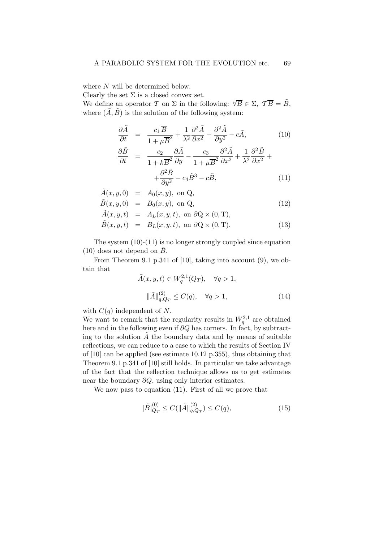where N will be determined below.

Clearly the set  $\Sigma$  is a closed convex set.

We define an operator T on  $\Sigma$  in the following:  $\forall \overline{B} \in \Sigma$ ,  $\mathcal{T}\overline{B} = \tilde{B}$ , where  $(\tilde{A}, \tilde{B})$  is the solution of the following system:

$$
\frac{\partial \tilde{A}}{\partial t} = \frac{c_1 \overline{B}}{1 + \mu \overline{B}^2} + \frac{1}{\lambda^2} \frac{\partial^2 \tilde{A}}{\partial x^2} + \frac{\partial^2 \tilde{A}}{\partial y^2} - c\tilde{A},\tag{10}
$$

$$
\frac{\partial \tilde{B}}{\partial t} = \frac{c_2}{1 + k\overline{B}^2} \frac{\partial \tilde{A}}{\partial y} - \frac{c_3}{1 + \mu \overline{B}^2} \frac{\partial^2 \tilde{A}}{\partial x^2} + \frac{1}{\lambda^2} \frac{\partial^2 \tilde{B}}{\partial x^2} + \frac{\partial^2 \tilde{B}}{\partial y^2} - c_4 \tilde{B}^3 - c \tilde{B},
$$
\n(11)

$$
\tilde{A}(x, y, 0) = A_0(x, y), \text{ on } Q,
$$
  
\n $\tilde{B}(x, y, 0) = B_0(x, y), \text{ on } Q,$ \n(12)

$$
\tilde{A}(x, y, t) = A_L(x, y, t), \text{ on } \partial \mathbf{Q} \times (0, \mathbf{T}), \n\tilde{B}(x, y, t) = B_L(x, y, t), \text{ on } \partial \mathbf{Q} \times (0, \mathbf{T}).
$$
\n(13)

The system (10)-(11) is no longer strongly coupled since equation (10) does not depend on 
$$
\tilde{B}
$$
.

From Theorem 9.1 p.341 of [10], taking into account (9), we obtain that

$$
\tilde{A}(x, y, t) \in W_q^{2,1}(Q_T), \quad \forall q > 1,
$$
  

$$
\|\tilde{A}\|_{q, Q_T}^{(2)} \le C(q), \quad \forall q > 1,
$$
 (14)

with  $C(q)$  independent of N.

We want to remark that the regularity results in  $W_q^{2,1}$  are obtained here and in the following even if  $\partial Q$  has corners. In fact, by subtracting to the solution  $\vec{A}$  the boundary data and by means of suitable reflections, we can reduce to a case to which the results of Section IV of [10] can be applied (see estimate 10.12 p.355), thus obtaining that Theorem 9.1 p.341 of [10] still holds. In particular we take advantage of the fact that the reflection technique allows us to get estimates near the boundary  $\partial Q$ , using only interior estimates.

We now pass to equation (11). First of all we prove that

$$
|\tilde{B}|_{Q_T}^{(0)} \le C(||\tilde{A}||_{q,Q_T}^{(2)}) \le C(q),\tag{15}
$$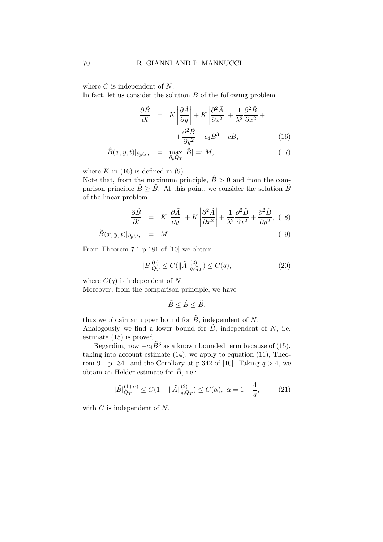where  $C$  is independent of  $N$ .

In fact, let us consider the solution  $\hat{B}$  of the following problem

$$
\frac{\partial \hat{B}}{\partial t} = K \left| \frac{\partial \tilde{A}}{\partial y} \right| + K \left| \frac{\partial^2 \tilde{A}}{\partial x^2} \right| + \frac{1}{\lambda^2} \frac{\partial^2 \tilde{B}}{\partial x^2} + \n+ \frac{\partial^2 \hat{B}}{\partial y^2} - c_4 \hat{B}^3 - c \hat{B},
$$
\n(16)

$$
\hat{B}(x, y, t)|_{\partial_p Q_T} = \max_{\partial_p Q_T} |\tilde{B}| =: M,
$$
\n(17)

where  $K$  in (16) is defined in (9).

Note that, from the maximum principle,  $\hat{B} > 0$  and from the comparison principle  $\hat{B} \geq \tilde{B}$ . At this point, we consider the solution  $\tilde{B}$ of the linear problem

$$
\frac{\partial \breve{B}}{\partial t} = K \left| \frac{\partial \tilde{A}}{\partial y} \right| + K \left| \frac{\partial^2 \tilde{A}}{\partial x^2} \right| + \frac{1}{\lambda^2} \frac{\partial^2 \breve{B}}{\partial x^2} + \frac{\partial^2 \breve{B}}{\partial y^2}, \quad (18)
$$

$$
\breve{B}(x, y, t)|_{\partial_p Q_T} = M. \tag{19}
$$

From Theorem 7.1 p.181 of [10] we obtain

$$
|\breve{B}|_{Q_T}^{(0)} \le C(||\tilde{A}||_{q,Q_T}^{(2)}) \le C(q),\tag{20}
$$

where  $C(q)$  is independent of N.

Moreover, from the comparison principle, we have

$$
\tilde{B}\leq \hat{B}\leq \breve{B},
$$

thus we obtain an upper bound for  $\ddot{B}$ , independent of N. Analogously we find a lower bound for  $\tilde{B}$ , independent of N, i.e. estimate (15) is proved.

Regarding now  $-c_4\tilde{B}^3$  as a known bounded term because of (15), taking into account estimate (14), we apply to equation (11), Theorem 9.1 p. 341 and the Corollary at p.342 of [10]. Taking  $q > 4$ , we obtain an Hölder estimate for  $B$ , i.e.:

$$
|\tilde{B}|_{Q_T}^{(1+\alpha)} \le C(1 + \|\tilde{A}\|_{q,Q_T}^{(2)}) \le C(\alpha), \ \alpha = 1 - \frac{4}{q},\tag{21}
$$

with  $C$  is independent of  $N$ .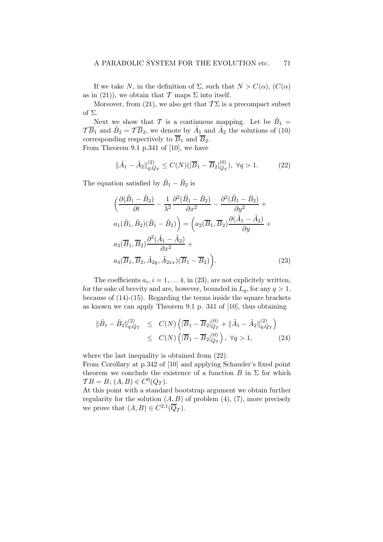If we take N, in the definition of  $\Sigma$ , such that  $N > C(\alpha)$ ,  $(C(\alpha))$ as in (21)), we obtain that  $\mathcal T$  maps  $\Sigma$  into itself.

Moreover, from (21), we also get that  $\mathcal{T}\Sigma$  is a precompact subset of  $\Sigma$ .

Next we show that T is a continuous mapping. Let be  $\tilde{B}_1 =$  $T\overline{B}_1$  and  $\tilde{B}_2 = T\overline{B}_2$ , we denote by  $\tilde{A}_1$  and  $\tilde{A}_2$  the solutions of (10) corresponding respectively to  $\overline{B}_1$  and  $\overline{B}_2$ . From Theorem 9.1 p.341 of [10], we have

$$
\|\tilde{A}_1 - \tilde{A}_2\|_{q, Q_T}^{(2)} \le C(N) \left( |\overline{B}_1 - \overline{B}_2|_{Q_T}^{(0)} \right), \ \forall q > 1. \tag{22}
$$

The equation satisfied by  $\tilde{B}_1 - \tilde{B}_2$  is

$$
\left(\frac{\partial(\tilde{B}_1 - \tilde{B}_2)}{\partial t} - \frac{1}{\lambda^2} \frac{\partial^2(\tilde{B}_1 - \tilde{B}_2)}{\partial x^2} - \frac{\partial^2(\tilde{B}_1 - \tilde{B}_2)}{\partial y^2} + \right.
$$
  
\n
$$
a_1(\tilde{B}_1, \tilde{B}_2)(\tilde{B}_1 - \tilde{B}_2)\right) = \left(a_2(\overline{B}_1, \overline{B}_2) \frac{\partial(\tilde{A}_1 - \tilde{A}_2)}{\partial y} + a_3(\overline{B}_1, \overline{B}_2) \frac{\partial^2(\tilde{A}_1 - \tilde{A}_2)}{\partial x^2} + a_4(\overline{B}_1, \overline{B}_2, \tilde{A}_{2y}, \tilde{A}_{2xx})(\overline{B}_1 - \overline{B}_2)\right).
$$
\n(23)

The coefficients  $a_i$ ,  $i = 1, \ldots 4$ , in (23), are not explicitely written, for the sake of brevity and are, however, bounded in  $L_q$ , for any  $q > 1$ , because of (14)-(15). Regarding the terms inside the square brackets as known we can apply Theorem 9.1 p. 341 of [10], thus obtaining

$$
\|\tilde{B}_1 - \tilde{B}_2\|_{q,Q_T}^{(2)} \le C(N) \left( |\overline{B}_1 - \overline{B}_2|_{Q_T}^{(0)} + \|\tilde{A}_1 - \tilde{A}_2\|_{q,Q_T}^{(2)} \right) \le C(N) \left( |\overline{B}_1 - \overline{B}_2|_{Q_T}^{(0)} \right), \ \forall q > 1,
$$
 (24)

where the last inequality is obtained from (22).

From Corollary at p.342 of [10] and applying Schauder's fixed point theorem we conclude the existence of a function  $B$  in  $\Sigma$  for which  $TB = B; (A, B) \in C^{0}(Q_{T}).$ 

At this point with a standard bootstrap argument we obtain further regularity for the solution  $(A, B)$  of problem  $(4)$ ,  $(7)$ , more precisely we prove that  $(A, B) \in C^{2,1}(\overline{Q}_T)$ .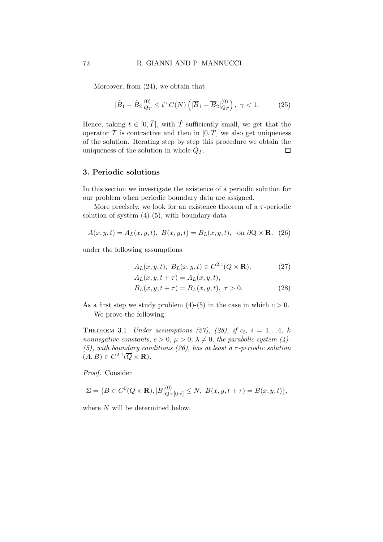Moreover, from (24), we obtain that

$$
|\tilde{B}_1 - \tilde{B}_2|_{Q_T}^{(0)} \le t^\gamma C(N) \left( |\overline{B}_1 - \overline{B}_2|_{Q_T}^{(0)} \right), \ \gamma < 1. \tag{25}
$$

Hence, taking  $t \in [0, \tilde{T}]$ , with  $\tilde{T}$  sufficiently small, we get that the operator T is contractive and then in  $[0, \tilde{T}]$  we also get uniqueness of the solution. Iterating step by step this procedure we obtain the uniqueness of the solution in whole  $Q_T$ .  $\Box$ 

## 3. Periodic solutions

In this section we investigate the existence of a periodic solution for our problem when periodic boundary data are assigned.

More precisely, we look for an existence theorem of a  $\tau$ -periodic solution of system  $(4)-(5)$ , with boundary data

$$
A(x, y, t) = AL(x, y, t), B(x, y, t) = BL(x, y, t), on \partial Q \times \mathbf{R}.
$$
 (26)

under the following assumptions

$$
A_L(x, y, t), B_L(x, y, t) \in C^{2,1}(Q \times \mathbf{R}), \tag{27}
$$

$$
A_L(x, y, t + \tau) = A_L(x, y, t),
$$

$$
B_L(x, y, t + \tau) = B_L(x, y, t), \ \tau > 0.
$$
 (28)

As a first step we study problem (4)-(5) in the case in which  $c > 0$ . We prove the following:

THEOREM 3.1. Under assumptions (27), (28), if  $c_i$ ,  $i = 1,...4$ , k nonnegative constants,  $c > 0$ ,  $\mu > 0$ ,  $\lambda \neq 0$ , the parabolic system (4)-(5), with boundary conditions (26), has at least a  $\tau$ -periodic solution  $(A, B) \in C^{2,1}(\overline{Q} \times \mathbf{R}).$ 

Proof. Consider

$$
\Sigma = \{ B \in C^0(Q \times \mathbf{R}), |B|_{Q \times [0,\tau]}^{(0)} \le N, \ B(x, y, t + \tau) = B(x, y, t) \},\
$$

where  $N$  will be determined below.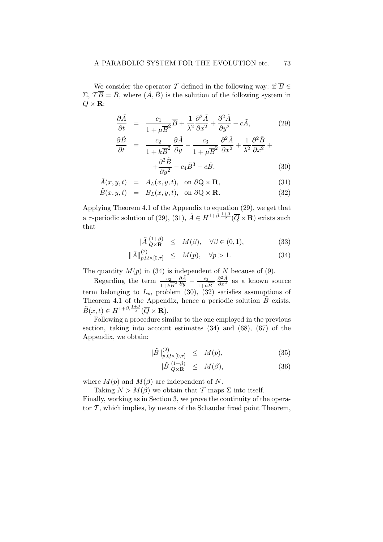We consider the operator T defined in the following way: if  $\overline{B} \in$  $\Sigma, \overline{TB} = \overline{B}$ , where  $(\overline{A}, \overline{B})$  is the solution of the following system in  $Q \times \mathbf{R}$ :

$$
\frac{\partial \tilde{A}}{\partial t} = \frac{c_1}{1 + \mu \overline{B}^2} \overline{B} + \frac{1}{\lambda^2} \frac{\partial^2 \tilde{A}}{\partial x^2} + \frac{\partial^2 \tilde{A}}{\partial y^2} - c \tilde{A}, \tag{29}
$$

$$
\frac{\partial \tilde{B}}{\partial t} = \frac{c_2}{1 + k\overline{B}^2} \frac{\partial \tilde{A}}{\partial y} - \frac{c_3}{1 + \mu \overline{B}^2} \frac{\partial^2 \tilde{A}}{\partial x^2} + \frac{1}{\lambda^2} \frac{\partial^2 \tilde{B}}{\partial x^2} + \frac{\partial^2 \tilde{B}}{\partial y^2} - c_4 \tilde{B}^3 - c \tilde{B},
$$
\n(30)

$$
\tilde{A}(x, y, t) = A_L(x, y, t), \text{ on } \partial \mathbf{Q} \times \mathbf{R}, \tag{31}
$$

$$
\tilde{B}(x, y, t) = B_L(x, y, t), \text{ on } \partial \mathbf{Q} \times \mathbf{R}.
$$
\n(32)

Applying Theorem 4.1 of the Appendix to equation (29), we get that a  $\tau$ -periodic solution of (29), (31),  $\tilde{A} \in H^{1+\beta, \frac{1+\beta}{2}}(\overline{Q} \times \mathbf{R})$  exists such that

$$
|\tilde{A}|_{Q \times \mathbf{R}}^{(1+\beta)} \leq M(\beta), \quad \forall \beta \in (0,1), \tag{33}
$$

$$
\|\tilde{A}\|_{p,\Omega\times[0,\tau]}^{(2)} \le M(p), \quad \forall p > 1. \tag{34}
$$

The quantity  $M(p)$  in (34) is independent of N because of (9).

Regarding the term  $\frac{c_2}{1+k\overline{B}^2} \frac{\partial \tilde{A}}{\partial y} - \frac{c_3}{1+\mu}$  $\frac{c_3}{1+\mu\overline{B}^2}$   $\frac{\partial^2 \tilde{A}}{\partial x^2}$  as a known source term belonging to  $L_p$ , problem (30), (32) satisfies assumptions of Theorem 4.1 of the Appendix, hence a periodic solution  $\tilde{B}$  exists,  $\tilde{B}(x,t) \in H^{1+\beta,\frac{1+\beta}{2}}(\overline{Q} \times \mathbf{R}).$ 

Following a procedure similar to the one employed in the previous section, taking into account estimates (34) and (68), (67) of the Appendix, we obtain:

$$
\|\tilde{B}\|_{p,Q\times[0,\tau]}^{(2)} \leq M(p), \tag{35}
$$

$$
|\tilde{B}|_{Q\times\mathbf{R}}^{(1+\beta)} \leq M(\beta), \tag{36}
$$

where  $M(p)$  and  $M(\beta)$  are independent of N.

Taking  $N > M(\beta)$  we obtain that T maps  $\Sigma$  into itself.

Finally, working as in Section 3, we prove the continuity of the operator  $\mathcal T$ , which implies, by means of the Schauder fixed point Theorem,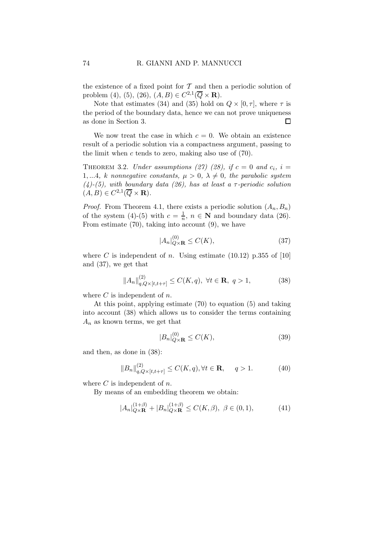the existence of a fixed point for  $\mathcal T$  and then a periodic solution of problem (4), (5), (26),  $(A, B) \in C^{2,1}(\overline{Q} \times \mathbf{R})$ .

Note that estimates (34) and (35) hold on  $Q \times [0, \tau]$ , where  $\tau$  is the period of the boundary data, hence we can not prove uniqueness as done in Section 3.  $\Box$ 

We now treat the case in which  $c = 0$ . We obtain an existence result of a periodic solution via a compactness argument, passing to the limit when  $c$  tends to zero, making also use of  $(70)$ .

THEOREM 3.2. Under assumptions (27) (28), if  $c = 0$  and  $c_i$ ,  $i =$ 1,...4, k nonnegative constants,  $\mu > 0$ ,  $\lambda \neq 0$ , the parabolic system (4)-(5), with boundary data (26), has at least a  $\tau$ -periodic solution  $(A, B) \in C^{2,1}(\overline{Q} \times \mathbf{R}).$ 

*Proof.* From Theorem 4.1, there exists a periodic solution  $(A_n, B_n)$ of the system (4)-(5) with  $c = \frac{1}{n}$  $\frac{1}{n}$ ,  $n \in \mathbb{N}$  and boundary data (26). From estimate (70), taking into account (9), we have

$$
|A_n|_{Q\times\mathbf{R}}^{(0)} \le C(K),\tag{37}
$$

where C is independent of n. Using estimate  $(10.12)$  p.355 of [10] and (37), we get that

$$
||A_n||_{q,Q\times[t,t+\tau]}^{(2)} \le C(K,q), \ \forall t \in \mathbf{R}, \ q > 1,
$$
 (38)

where  $C$  is independent of  $n$ .

At this point, applying estimate (70) to equation (5) and taking into account (38) which allows us to consider the terms containing  $A_n$  as known terms, we get that

$$
|B_n|_{Q\times\mathbf{R}}^{(0)} \le C(K),\tag{39}
$$

and then, as done in (38):

$$
||B_n||_{q,Q\times[t,t+\tau]}^{(2)} \le C(K,q), \forall t \in \mathbf{R}, \quad q > 1.
$$
 (40)

where  $C$  is independent of  $n$ .

By means of an embedding theorem we obtain:

$$
|A_n|_{Q \times \mathbf{R}}^{(1+\beta)} + |B_n|_{Q \times \mathbf{R}}^{(1+\beta)} \le C(K, \beta), \ \beta \in (0, 1), \tag{41}
$$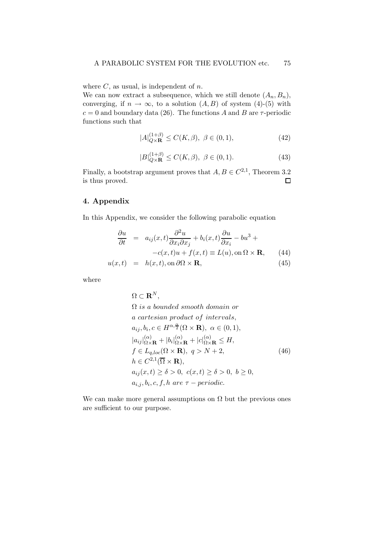where  $C$ , as usual, is independent of  $n$ .

We can now extract a subsequence, which we still denote  $(A_n, B_n)$ , converging, if  $n \to \infty$ , to a solution  $(A, B)$  of system  $(4)$ - $(5)$  with  $c = 0$  and boundary data (26). The functions A and B are  $\tau$ -periodic functions such that

$$
|A|_{Q\times\mathbf{R}}^{(1+\beta)} \le C(K,\beta), \ \beta \in (0,1),\tag{42}
$$

$$
|B|_{Q\times\mathbf{R}}^{(1+\beta)} \le C(K,\beta), \ \beta \in (0,1). \tag{43}
$$

Finally, a bootstrap argument proves that  $A, B \in C^{2,1}$ , Theorem 3.2 is thus proved.  $\Box$ 

# 4. Appendix

In this Appendix, we consider the following parabolic equation

$$
\frac{\partial u}{\partial t} = a_{ij}(x, t) \frac{\partial^2 u}{\partial x_i \partial x_j} + b_i(x, t) \frac{\partial u}{\partial x_i} - bu^3 +
$$
  
\n
$$
-c(x, t)u + f(x, t) \equiv L(u), \text{ on } \Omega \times \mathbf{R}, \qquad (44)
$$
  
\n
$$
u(x, t) = h(x, t), \text{ on } \partial\Omega \times \mathbf{R}, \qquad (45)
$$

where

$$
\Omega \subset \mathbf{R}^{N},
$$
\n
$$
\Omega \text{ is a bounded smooth domain or}
$$
\na cartesian product of intervals,  
\n
$$
a_{ij}, b_i, c \in H^{\alpha, \frac{\alpha}{2}}(\Omega \times \mathbf{R}), \ \alpha \in (0, 1),
$$
\n
$$
|a_{ij}|_{\Omega \times \mathbf{R}}^{(\alpha)} + |b_{i}|_{\Omega \times \mathbf{R}}^{(\alpha)} + |c|_{\Omega \times \mathbf{R}}^{(\alpha)} \leq H,
$$
\n
$$
f \in L_{q, loc}(\Omega \times \mathbf{R}), \ q > N + 2,
$$
\n
$$
h \in C^{2,1}(\overline{\Omega} \times \mathbf{R}),
$$
\n
$$
a_{ij}(x, t) \geq \delta > 0, \ c(x, t) \geq \delta > 0, \ b \geq 0,
$$
\n
$$
a_{i,j}, b_i, c, f, h \ are \ \tau-periodic.
$$
\n(46)

We can make more general assumptions on  $\Omega$  but the previous ones are sufficient to our purpose.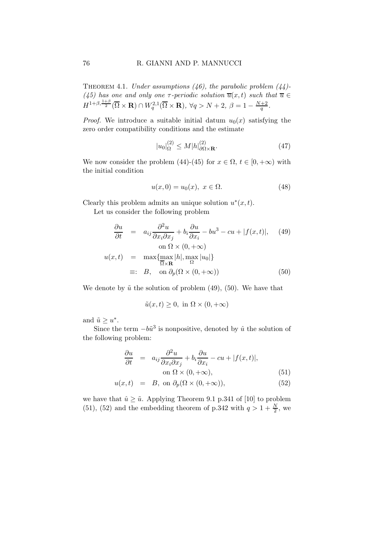### 76 R. GIANNI AND P. MANNUCCI

THEOREM 4.1. Under assumptions  $(46)$ , the parabolic problem  $(44)$ -(45) has one and only one  $\tau$ -periodic solution  $\overline{u}(x,t)$  such that  $\overline{u} \in$  $H^{1+\beta,\frac{1+\beta}{2}}(\overline{\Omega}\times\mathbf{R})\cap W_q^{2,1}(\overline{\Omega}\times\mathbf{R}),\,\forall q>N+2,\,\beta=1-\frac{N+2}{q}.$ 

*Proof.* We introduce a suitable initial datum  $u_0(x)$  satisfying the zero order compatibility conditions and the estimate

$$
|u_0|_{\Omega}^{(2)} \le M|h|_{\partial\Omega\times\mathbf{R}}^{(2)}.\tag{47}
$$

We now consider the problem (44)-(45) for  $x \in \Omega$ ,  $t \in [0, +\infty)$  with the initial condition

$$
u(x,0) = u_0(x), \ x \in \Omega.
$$
 (48)

Clearly this problem admits an unique solution  $u^*(x,t)$ . Let us consider the following problem

$$
\frac{\partial u}{\partial t} = a_{ij} \frac{\partial^2 u}{\partial x_i \partial x_j} + b_i \frac{\partial u}{\partial x_i} - bu^3 - cu + |f(x, t)|, \quad (49)
$$
  
\n
$$
u(x, t) = \max \{ \max_{\overline{\Omega} \times \mathbf{R}} |h|, \max_{\Omega} |u_0| \}
$$
  
\n
$$
\equiv: B, \quad \text{on } \partial_p(\Omega \times (0, +\infty)) \quad (50)
$$

We denote by  $\tilde{u}$  the solution of problem (49), (50). We have that

$$
\tilde{u}(x,t) \ge 0, \text{ in } \Omega \times (0, +\infty)
$$

and  $\tilde{u} \geq u^*$ .

Since the term  $-b\tilde{u}^3$  is nonpositive, denoted by  $\hat{u}$  the solution of the following problem:

$$
\frac{\partial u}{\partial t} = a_{ij} \frac{\partial^2 u}{\partial x_i \partial x_j} + b_i \frac{\partial u}{\partial x_i} - cu + |f(x, t)|,
$$
  
on  $\Omega \times (0, +\infty)$ , (51)

$$
u(x,t) = B, \text{ on } \partial_p(\Omega \times (0,+\infty)), \tag{52}
$$

we have that  $\hat{u} \geq \tilde{u}$ . Applying Theorem 9.1 p.341 of [10] to problem (51), (52) and the embedding theorem of p.342 with  $q > 1 + \frac{N}{2}$ , we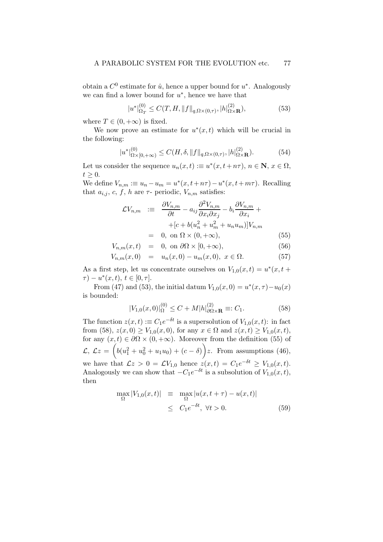obtain a  $C^0$  estimate for  $\hat{u}$ , hence a upper bound for  $u^*$ . Analogously we can find a lower bound for  $u^*$ , hence we have that

$$
|u^*|_{\Omega_T}^{(0)} \le C(T, H, \|f\|_{q, \Omega \times (0, \tau)}, |h|_{\Omega \times \mathbf{R}}^{(2)}),
$$
\n(53)

where  $T \in (0, +\infty)$  is fixed.

We now prove an estimate for  $u^*(x,t)$  which will be crucial in the following:

$$
|u^*|_{\Omega \times [0, +\infty)}^{(0)} \le C(H, \delta, \|f\|_{q, \Omega \times (0, \tau)}, |h|_{\Omega \times \mathbf{R}}^{(2)}).
$$
 (54)

Let us consider the sequence  $u_n(x,t) := u^*(x, t + n\tau)$ ,  $n \in \mathbb{N}$ ,  $x \in \Omega$ ,  $t > 0$ .

We define  $V_{n,m} := u_n - u_m = u^*(x, t + n\tau) - u^*(x, t + m\tau)$ . Recalling that  $a_{i,j}$ , c, f, h are  $\tau$ - periodic,  $V_{n,m}$  satisfies:

$$
\mathcal{L}V_{n,m} := \frac{\partial V_{n,m}}{\partial t} - a_{ij} \frac{\partial^2 V_{n,m}}{\partial x_i \partial x_j} - b_i \frac{\partial V_{n,m}}{\partial x_i} +
$$
  
+ 
$$
[c + b(u_n^2 + u_m^2 + u_n u_m)]V_{n,m}
$$
  
= 0, on  $\Omega \times (0, +\infty)$ , (55)

$$
0 \quad = \quad 0 \quad \text{on} \quad \partial\Omega \times [0, +\infty) \tag{56}
$$

$$
V_{n,m}(x,t) = 0, \text{ on } \partial\Omega \times [0,+\infty),
$$
  
\n
$$
V_{n,m}(x,0) = u_n(x,0) - u_m(x,0), \ x \in \Omega.
$$
 (57)

As a first step, let us concentrate ourselves on  $V_{1,0}(x,t) = u^*(x,t) +$  $\tau$ ) –  $u^*(x,t)$ ,  $t \in [0, \tau]$ .

From (47) and (53), the initial datum  $V_{1,0}(x,0) = u^*(x, \tau) - u_0(x)$ is bounded:

$$
|V_{1,0}(x,0)|_{\Omega}^{(0)} \le C + M|h|_{\partial\Omega\times\mathbf{R}}^{(2)} \equiv: C_1.
$$
 (58)

The function  $z(x,t) := C_1 e^{-\delta t}$  is a supersolution of  $V_{1,0}(x,t)$ : in fact from (58),  $z(x, 0) \ge V_{1,0}(x, 0)$ , for any  $x \in \Omega$  and  $z(x, t) \ge V_{1,0}(x, t)$ , for any  $(x, t) \in \partial\Omega \times (0, +\infty)$ . Moreover from the definition (55) of  $\mathcal{L}, \ \mathcal{L}z = \left(b(u_1^2 + u_0^2 + u_1u_0) + (c - \delta)\right)z.$  From assumptions (46), we have that  $\mathcal{L}z > 0 = \mathcal{L}V_{1,0}$  hence  $z(x,t) = C_1e^{-\delta t} \ge V_{1,0}(x,t)$ . Analogously we can show that  $-C_1e^{-\delta t}$  is a subsolution of  $V_{1,0}(x,t)$ , then

$$
\max_{\Omega} |V_{1,0}(x,t)| = \max_{\Omega} |u(x,t+\tau) - u(x,t)|
$$
  
\n
$$
\leq C_1 e^{-\delta t}, \forall t > 0.
$$
 (59)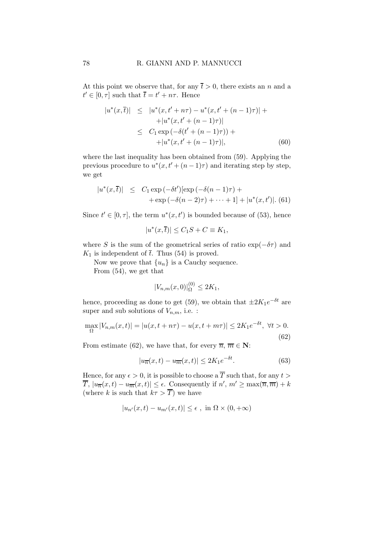At this point we observe that, for any  $\bar{t} > 0$ , there exists an n and a  $t' \in [0, \tau]$  such that  $\overline{t} = t' + n\tau$ . Hence

$$
|u^*(x,\overline{t})| \le |u^*(x,t'+n\tau) - u^*(x,t'+(n-1)\tau)| ++|u^*(x,t'+(n-1)\tau)|\le C_1 \exp(-\delta(t'+(n-1)\tau)) ++|u^*(x,t'+(n-1)\tau)|,
$$
\n(60)

where the last inequality has been obtained from (59). Applying the previous procedure to  $u^*(x, t' + (n-1)\tau)$  and iterating step by step, we get

$$
|u^*(x,\overline{t})| \leq C_1 \exp(-\delta t')[\exp(-\delta(n-1)\tau) ++\exp(-\delta(n-2)\tau) + \cdots + 1] + |u^*(x,t')|. \text{ (61)}
$$

Since  $t' \in [0, \tau]$ , the term  $u^*(x, t')$  is bounded because of (53), hence

$$
|u^*(x,\overline{t})| \le C_1S + C \equiv K_1,
$$

where S is the sum of the geometrical series of ratio  $\exp(-\delta \tau)$  and  $K_1$  is independent of  $\bar{t}$ . Thus (54) is proved.

Now we prove that  ${u_n}$  is a Cauchy sequence. From (54), we get that

$$
|V_{n,m}(x,0)|_{\Omega}^{(0)} \le 2K_1,
$$

hence, proceeding as done to get (59), we obtain that  $\pm 2K_1e^{-\delta t}$  are super and sub solutions of  $V_{n,m}$ , i.e. :

$$
\max_{\Omega} |V_{n,m}(x,t)| = |u(x,t+n\tau) - u(x,t+m\tau)| \le 2K_1 e^{-\delta t}, \ \forall t > 0.
$$
\n(62)

From estimate (62), we have that, for every  $\overline{n}, \overline{m} \in \mathbb{N}$ :

$$
|u_{\overline{n}}(x,t) - u_{\overline{m}}(x,t)| \le 2K_1 e^{-\delta t}.\tag{63}
$$

Hence, for any  $\epsilon > 0$ , it is possible to choose a  $\overline{T}$  such that, for any  $t > 0$  $\overline{T}, |u_{\overline{n}}(x,t) - u_{\overline{m}}(x,t)| \le \epsilon$ . Consequently if  $n', m' \ge \max(\overline{n}, \overline{m}) + k$ (where k is such that  $k\tau > \overline{T}$ ) we have

$$
|u_{n'}(x,t) - u_{m'}(x,t)| \le \epsilon , \text{ in } \Omega \times (0,+\infty)
$$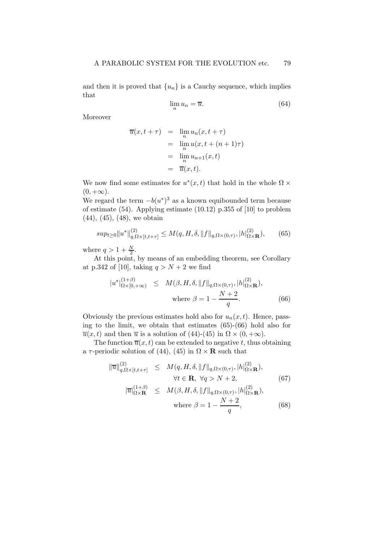and then it is proved that  $\{u_n\}$  is a Cauchy sequence, which implies that

$$
\lim_{n} u_n = \overline{u}.\tag{64}
$$

Moreover

$$
\overline{u}(x, t + \tau) = \lim_{n} u_n(x, t + \tau)
$$
  
= 
$$
\lim_{n} u(x, t + (n + 1)\tau)
$$
  
= 
$$
\lim_{n} u_{n+1}(x, t)
$$
  
= 
$$
\overline{u}(x, t).
$$

We now find some estimates for  $u^*(x,t)$  that hold in the whole  $\Omega \times$  $(0, +\infty).$ 

We regard the term  $-b(u^*)^3$  as a known equibounded term because of estimate (54). Applying estimate (10.12) p.355 of [10] to problem (44), (45), (48), we obtain

$$
sup_{t\geq 0}||u^*||_{q,\Omega\times[t,t+\tau]}^{(2)} \leq M(q,H,\delta,||f||_{q,\Omega\times(0,\tau)},|h|_{\Omega\times\mathbf{R}}^{(2)}),\qquad(65)
$$

where  $q > 1 + \frac{N}{2}$ .

At this point, by means of an embedding theorem, see Corollary at p.342 of [10], taking  $q > N + 2$  we find

$$
|u^*|_{\Omega \times [0, +\infty)}^{(1+\beta)} \leq M(\beta, H, \delta, \|f\|_{q, \Omega \times (0, \tau)}, |h|_{\Omega \times \mathbf{R}}^{(2)}),
$$
  
where  $\beta = 1 - \frac{N+2}{q}$ . (66)

Obviously the previous estimates hold also for  $u_n(x, t)$ . Hence, passing to the limit, we obtain that estimates (65)-(66) hold also for  $\overline{u}(x, t)$  and then  $\overline{u}$  is a solution of (44)-(45) in  $\Omega \times (0, +\infty)$ .

The function  $\overline{u}(x, t)$  can be extended to negative t, thus obtaining a  $\tau$ -periodic solution of (44), (45) in  $\Omega \times \mathbf{R}$  such that

$$
\begin{array}{rcl}\n\|\overline{u}\|_{q,\Omega\times[t,t+\tau]}^{(2)} & \leq & M(q,H,\delta,\|f\|_{q,\Omega\times(0,\tau)},|h|_{\Omega\times\mathbf{R}}^{(2)}), \\
& \forall t \in \mathbf{R}, \ \forall q > N+2, \\
\|\overline{u}\|_{\Omega\times\mathbf{R}}^{(1+\beta)} & \leq & M(\beta,H,\delta,\|f\|_{q,\Omega\times(0,\tau)},|h|_{\Omega\times\mathbf{R}}^{(2)}),\n\end{array} \tag{67}
$$

$$
\alpha_{\mathbf{X}\mathbf{R}}^{(1+ \rho)} \leq M(\beta, H, \delta, \|f\|_{q, \Omega \times (0, \tau)}, |h|_{\Omega \times \mathbf{R}}^{(2)}),
$$
\n
$$
\text{where } \beta = 1 - \frac{N+2}{q}, \tag{68}
$$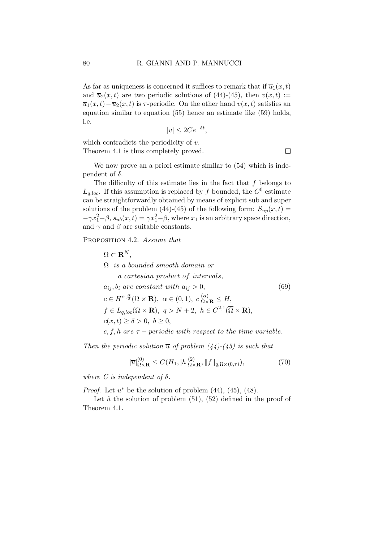As far as uniqueness is concerned it suffices to remark that if  $\overline{u}_1(x, t)$ and  $\overline{u}_2(x,t)$  are two periodic solutions of (44)-(45), then  $v(x,t) :=$  $\overline{u}_1(x,t)-\overline{u}_2(x,t)$  is  $\tau$ -periodic. On the other hand  $v(x,t)$  satisfies an equation similar to equation (55) hence an estimate like (59) holds, i.e.

$$
|v| \le 2Ce^{-\delta t},
$$

which contradicts the periodicity of  $v$ . Theorem 4.1 is thus completely proved.

We now prove an a priori estimate similar to  $(54)$  which is independent of  $\delta$ .

The difficulty of this estimate lies in the fact that  $f$  belongs to  $L_{q,loc}$ . If this assumption is replaced by f bounded, the  $C^0$  estimate can be straightforwardly obtained by means of explicit sub and super solutions of the problem (44)-(45) of the following form:  $S_{up}(x, t) =$  $-\gamma x_1^2 + \beta$ ,  $s_{ub}(x,t) = \gamma x_1^2 - \beta$ , where  $x_1$  is an arbitrary space direction, and  $\gamma$  and  $\beta$  are suitable constants.

PROPOSITION 4.2. Assume that

 $\Omega \subset \mathbf{R}^N$ , Ω is a bounded smooth domain or a cartesian product of intervals,  $a_{ij}, b_i$  are constant with  $a_{ij} > 0$ , (69)  $c \in H^{\alpha, \frac{\alpha}{2}}(\Omega \times \mathbf{R}), \ \alpha \in (0, 1), |c|_{\Omega \times \mathbf{R}}^{(\alpha)} \leq H,$  $f \in L_{q,loc}(\Omega \times \mathbf{R}), q > N+2, h \in C^{2,1}(\overline{\Omega} \times \mathbf{R}),$  $c(x, t) > \delta > 0, b > 0,$ c, f, h are  $\tau$  – periodic with respect to the time variable.

Then the periodic solution  $\overline{u}$  of problem (44)-(45) is such that

$$
|\overline{u}|_{\Omega\times\mathbf{R}}^{(0)} \le C(H_1, |h|_{\Omega\times\mathbf{R}}^{(2)}, \|f\|_{q,\Omega\times(0,\tau)}),\tag{70}
$$

where C is independent of  $\delta$ .

*Proof.* Let  $u^*$  be the solution of problem  $(44)$ ,  $(45)$ ,  $(48)$ .

Let  $\hat{u}$  the solution of problem (51), (52) defined in the proof of Theorem 4.1.

 $\Box$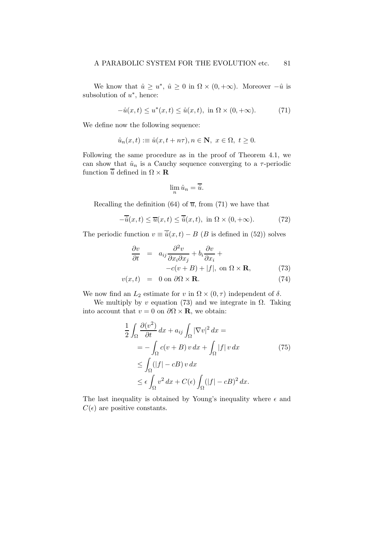We know that  $\hat{u} \geq u^*, \hat{u} \geq 0$  in  $\Omega \times (0, +\infty)$ . Moreover  $-\hat{u}$  is subsolution of  $u^*$ , hence:

$$
-\hat{u}(x,t) \le u^*(x,t) \le \hat{u}(x,t), \text{ in } \Omega \times (0,+\infty). \tag{71}
$$

We define now the following sequence:

$$
\hat{u}_n(x,t) := \hat{u}(x,t+n\tau), n \in \mathbf{N}, \ x \in \Omega, \ t \ge 0.
$$

Following the same procedure as in the proof of Theorem 4.1, we can show that  $\hat{u}_n$  is a Cauchy sequence converging to a  $\tau$ -periodic function  $\overline{\hat{u}}$  defined in  $\Omega \times \mathbf{R}$ 

$$
\lim_{n} \hat{u}_n = \overline{\hat{u}}.
$$

Recalling the definition (64) of  $\overline{u}$ , from (71) we have that

$$
-\overline{\hat{u}}(x,t) \le \overline{u}(x,t) \le \overline{\hat{u}}(x,t), \text{ in } \Omega \times (0,+\infty). \tag{72}
$$

The periodic function  $v \equiv \overline{\hat{u}}(x, t) - B$  (B is defined in (52)) solves

$$
\frac{\partial v}{\partial t} = a_{ij} \frac{\partial^2 v}{\partial x_i \partial x_j} + b_i \frac{\partial v}{\partial x_i} + (-c(v+B) + |f|, \text{ on } \Omega \times \mathbf{R}, \tag{73}
$$

$$
v(x,t) = 0 \text{ on } \partial\Omega \times \mathbf{R}.\tag{74}
$$

We now find an  $L_2$  estimate for v in  $\Omega \times (0, \tau)$  independent of  $\delta$ .

We multiply by v equation (73) and we integrate in  $\Omega$ . Taking into account that  $v = 0$  on  $\partial\Omega \times \mathbf{R}$ , we obtain:

$$
\frac{1}{2} \int_{\Omega} \frac{\partial (v^2)}{\partial t} dx + a_{ij} \int_{\Omega} |\nabla v|^2 dx =
$$
\n
$$
= - \int_{\Omega} c(v + B) v dx + \int_{\Omega} |f| v dx \qquad (75)
$$
\n
$$
\leq \int_{\Omega} (|f| - cB) v dx
$$
\n
$$
\leq \epsilon \int_{\Omega} v^2 dx + C(\epsilon) \int_{\Omega} (|f| - cB)^2 dx.
$$

The last inequality is obtained by Young's inequality where  $\epsilon$  and  $C(\epsilon)$  are positive constants.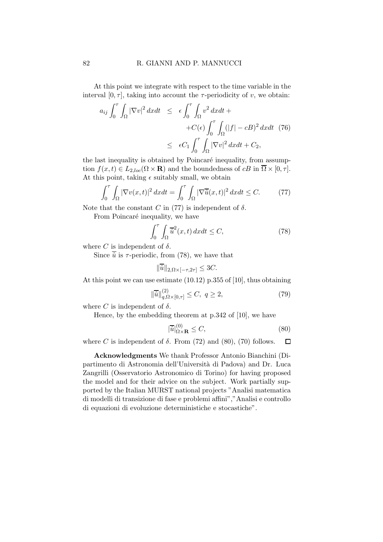At this point we integrate with respect to the time variable in the interval  $[0, \tau]$ , taking into account the  $\tau$ -periodicity of v, we obtain:

$$
a_{ij} \int_0^{\tau} \int_{\Omega} |\nabla v|^2 dxdt \leq \epsilon \int_0^{\tau} \int_{\Omega} v^2 dxdt + C(\epsilon) \int_0^{\tau} \int_{\Omega} (|f| - cB)^2 dxdt \tag{76}
$$
  

$$
\leq \epsilon C_1 \int_0^{\tau} \int_{\Omega} |\nabla v|^2 dxdt + C_2,
$$

the last inequality is obtained by Poincaré inequality, from assumption  $f(x, t) \in L_{2,loc}(\Omega \times \mathbf{R})$  and the boundedness of  $cB$  in  $\overline{\Omega} \times [0, \tau]$ . At this point, taking  $\epsilon$  suitably small, we obtain

$$
\int_0^{\tau} \int_{\Omega} |\nabla v(x, t)|^2 dx dt = \int_0^{\tau} \int_{\Omega} |\nabla \overline{\hat{u}}(x, t)|^2 dx dt \le C. \tag{77}
$$

Note that the constant C in (77) is independent of  $\delta$ .

From Poincaré inequality, we have

$$
\int_0^\tau \int_{\Omega} \overline{\hat{u}}^2(x, t) \, dx dt \le C,\tag{78}
$$

where C is independent of  $\delta$ .

Since  $\bar{u}$  is  $\tau$ -periodic, from (78), we have that

$$
\|\overline{\hat{u}}\|_{2,\Omega\times[-\tau,2\tau]}\leq 3C.
$$

At this point we can use estimate (10.12) p.355 of [10], thus obtaining

$$
\|\overline{\hat{u}}\|_{q,\Omega\times[0,\tau]}^{(2)} \le C, \ q \ge 2,\tag{79}
$$

where C is independent of  $\delta$ .

Hence, by the embedding theorem at p.342 of [10], we have

$$
|\overline{\hat{u}}|_{\Omega \times \mathbf{R}}^{(0)} \le C,\tag{80}
$$

where C is independent of  $\delta$ . From (72) and (80), (70) follows.  $\Box$ 

Acknowledgments We thank Professor Antonio Bianchini (Dipartimento di Astronomia dell'Università di Padova) and Dr. Luca Zangrilli (Osservatorio Astronomico di Torino) for having proposed the model and for their advice on the subject. Work partially supported by the Italian MURST national projects "Analisi matematica di modelli di transizione di fase e problemi affini","Analisi e controllo di equazioni di evoluzione deterministiche e stocastiche".